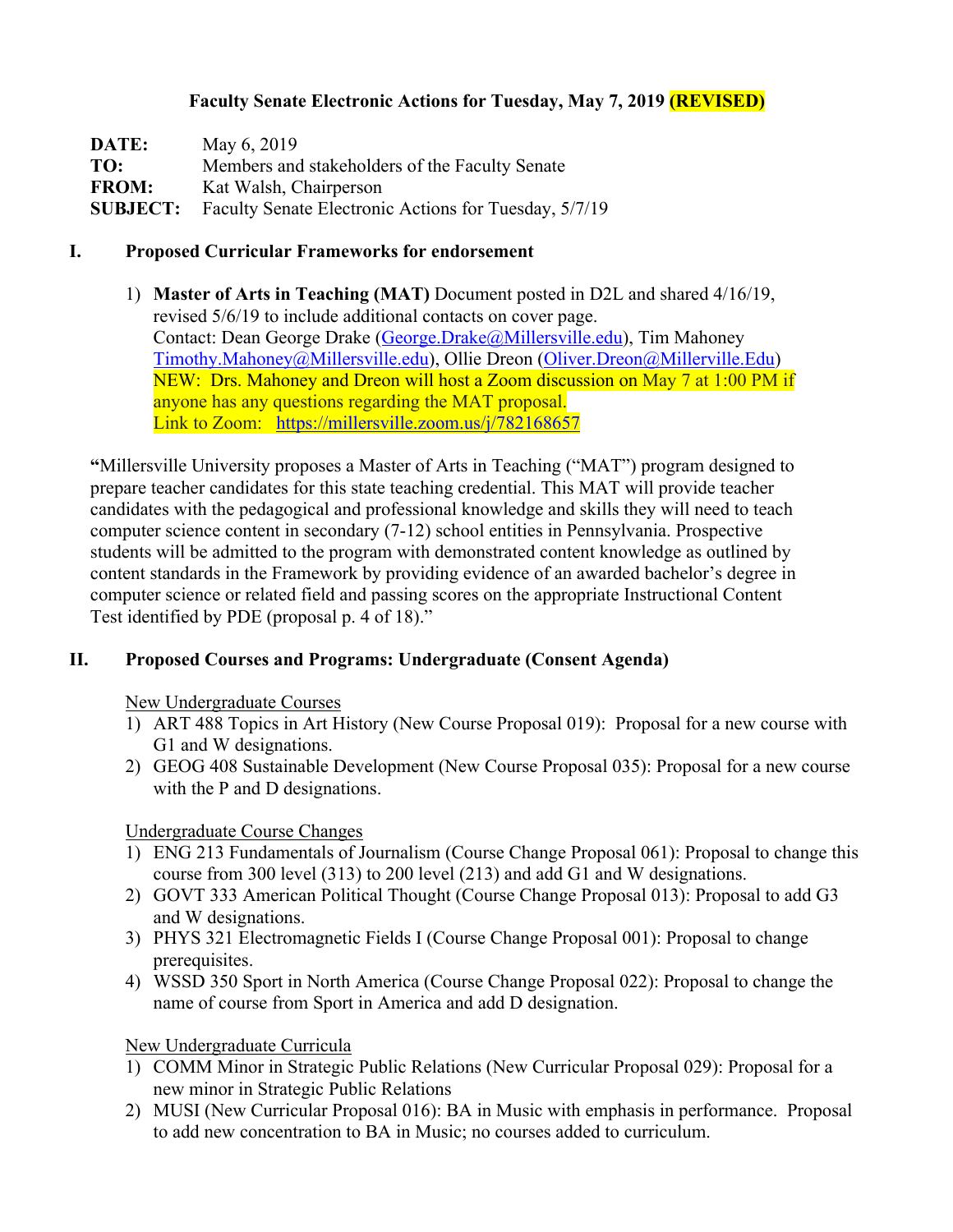### **Faculty Senate Electronic Actions for Tuesday, May 7, 2019 (REVISED)**

| DATE:           | May 6, 2019                                           |
|-----------------|-------------------------------------------------------|
| TO:             | Members and stakeholders of the Faculty Senate        |
| <b>FROM:</b>    | Kat Walsh, Chairperson                                |
| <b>SUBJECT:</b> | Faculty Senate Electronic Actions for Tuesday, 5/7/19 |

#### **I. Proposed Curricular Frameworks for endorsement**

1) **Master of Arts in Teaching (MAT)** Document posted in D2L and shared 4/16/19, revised 5/6/19 to include additional contacts on cover page. Contact: Dean George Drake (George.Drake@Millersville.edu), Tim Mahoney Timothy.Mahoney@Millersville.edu), Ollie Dreon (Oliver.Dreon@Millerville.Edu) NEW: Drs. Mahoney and Dreon will host a Zoom discussion on May 7 at 1:00 PM if anyone has any questions regarding the MAT proposal. Link to Zoom: https://millersville.zoom.us/j/782168657

**"**Millersville University proposes a Master of Arts in Teaching ("MAT") program designed to prepare teacher candidates for this state teaching credential. This MAT will provide teacher candidates with the pedagogical and professional knowledge and skills they will need to teach computer science content in secondary (7-12) school entities in Pennsylvania. Prospective students will be admitted to the program with demonstrated content knowledge as outlined by content standards in the Framework by providing evidence of an awarded bachelor's degree in computer science or related field and passing scores on the appropriate Instructional Content Test identified by PDE (proposal p. 4 of 18)."

### **II. Proposed Courses and Programs: Undergraduate (Consent Agenda)**

New Undergraduate Courses

- 1) ART 488 Topics in Art History (New Course Proposal 019): Proposal for a new course with G1 and W designations.
- 2) GEOG 408 Sustainable Development (New Course Proposal 035): Proposal for a new course with the P and D designations.

#### Undergraduate Course Changes

- 1) ENG 213 Fundamentals of Journalism (Course Change Proposal 061): Proposal to change this course from 300 level (313) to 200 level (213) and add G1 and W designations.
- 2) GOVT 333 American Political Thought (Course Change Proposal 013): Proposal to add G3 and W designations.
- 3) PHYS 321 Electromagnetic Fields I (Course Change Proposal 001): Proposal to change prerequisites.
- 4) WSSD 350 Sport in North America (Course Change Proposal 022): Proposal to change the name of course from Sport in America and add D designation.

### New Undergraduate Curricula

- 1) COMM Minor in Strategic Public Relations (New Curricular Proposal 029): Proposal for a new minor in Strategic Public Relations
- 2) MUSI (New Curricular Proposal 016): BA in Music with emphasis in performance. Proposal to add new concentration to BA in Music; no courses added to curriculum.